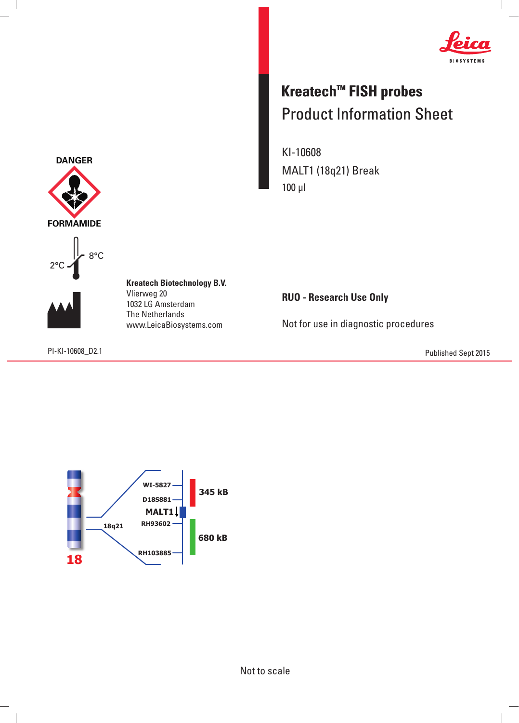

## **Kreatech™ FISH probes** Product Information Sheet

KI-10608 MALT1 (18q21) Break 100 μl







 $\overline{\phantom{a}}$ 

**Kreatech Biotechnology B.V.** Vlierweg 20 1032 LG Amsterdam The Netherlands www.LeicaBiosystems.com

**RUO - Research Use Only**

Not for use in diagnostic procedures

PI-KI-10608\_D2.1 Published Sept 2015